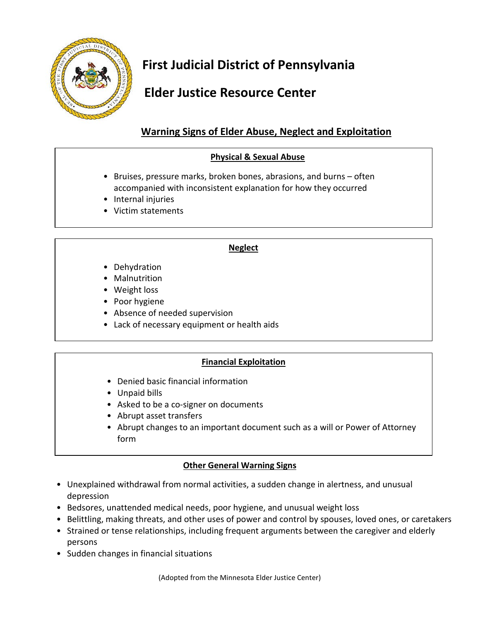

# **First Judicial District of Pennsylvania**

## **Elder Justice Resource Center**

### **Warning Signs of Elder Abuse, Neglect and Exploitation**

### **Physical & Sexual Abuse**

- Bruises, pressure marks, broken bones, abrasions, and burns often accompanied with inconsistent explanation for how they occurred
- Internal injuries
- Victim statements

#### **Neglect**

- Dehydration
- Malnutrition
- Weight loss
- Poor hygiene
- Absence of needed supervision
- Lack of necessary equipment or health aids

### **Financial Exploitation**

- Denied basic financial information
- Unpaid bills
- Asked to be a co-signer on documents
- Abrupt asset transfers
- Abrupt changes to an important document such as a will or Power of Attorney form

### **Other General Warning Signs**

- Unexplained withdrawal from normal activities, a sudden change in alertness, and unusual depression
- Bedsores, unattended medical needs, poor hygiene, and unusual weight loss
- Belittling, making threats, and other uses of power and control by spouses, loved ones, or caretakers
- Strained or tense relationships, including frequent arguments between the caregiver and elderly persons
- Sudden changes in financial situations